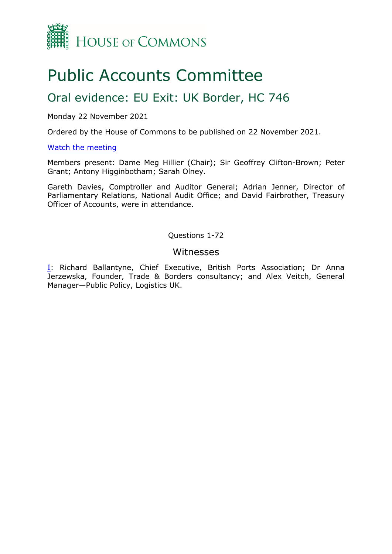

# Public Accounts Committee

## Oral evidence: EU Exit: UK Border, HC 746

#### Monday 22 November 2021

Ordered by the House of Commons to be published on 22 November 2021.

#### [Watch the meeting](https://parliamentlive.tv/event/index/345eaa6d-b2c0-4965-897e-c6938f6042da?in=16:03:37)

Members present: Dame Meg Hillier (Chair); Sir Geoffrey Clifton-Brown; Peter Grant; Antony Higginbotham; Sarah Olney.

Gareth Davies, Comptroller and Auditor General; Adrian Jenner, Director of Parliamentary Relations, National Audit Office; and David Fairbrother, Treasury Officer of Accounts, were in attendance.

Questions 1-72

#### Witnesses

**I**: Richard Ballantyne, Chief Executive, British Ports Association; Dr Anna Jerzewska, Founder, Trade & Borders consultancy; and Alex Veitch, General Manager—Public Policy, Logistics UK.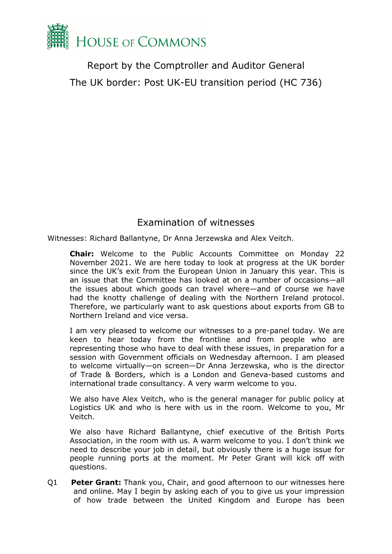

Report by the Comptroller and Auditor General The UK border: Post UK-EU transition period (HC 736)

### Examination of witnesses

<span id="page-1-0"></span>Witnesses: Richard Ballantyne, Dr Anna Jerzewska and Alex Veitch.

**Chair:** Welcome to the Public Accounts Committee on Monday 22 November 2021. We are here today to look at progress at the UK border since the UK's exit from the European Union in January this year. This is an issue that the Committee has looked at on a number of occasions—all the issues about which goods can travel where—and of course we have had the knotty challenge of dealing with the Northern Ireland protocol. Therefore, we particularly want to ask questions about exports from GB to Northern Ireland and vice versa.

I am very pleased to welcome our witnesses to a pre-panel today. We are keen to hear today from the frontline and from people who are representing those who have to deal with these issues, in preparation for a session with Government officials on Wednesday afternoon. I am pleased to welcome virtually—on screen—Dr Anna Jerzewska, who is the director of Trade & Borders, which is a London and Geneva-based customs and international trade consultancy. A very warm welcome to you.

We also have Alex Veitch, who is the general manager for public policy at Logistics UK and who is here with us in the room. Welcome to you, Mr Veitch.

We also have Richard Ballantyne, chief executive of the British Ports Association, in the room with us. A warm welcome to you. I don't think we need to describe your job in detail, but obviously there is a huge issue for people running ports at the moment. Mr Peter Grant will kick off with questions.

Q1 **Peter Grant:** Thank you, Chair, and good afternoon to our witnesses here and online. May I begin by asking each of you to give us your impression of how trade between the United Kingdom and Europe has been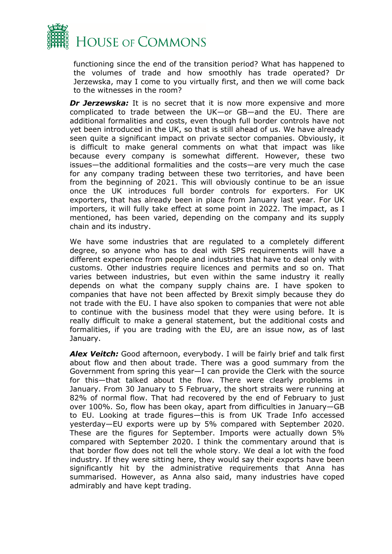

functioning since the end of the transition period? What has happened to the volumes of trade and how smoothly has trade operated? Dr Jerzewska, may I come to you virtually first, and then we will come back to the witnesses in the room?

*Dr Jerzewska:* It is no secret that it is now more expensive and more complicated to trade between the UK—or GB—and the EU. There are additional formalities and costs, even though full border controls have not yet been introduced in the UK, so that is still ahead of us. We have already seen quite a significant impact on private sector companies. Obviously, it is difficult to make general comments on what that impact was like because every company is somewhat different. However, these two issues—the additional formalities and the costs—are very much the case for any company trading between these two territories, and have been from the beginning of 2021. This will obviously continue to be an issue once the UK introduces full border controls for exporters. For UK exporters, that has already been in place from January last year. For UK importers, it will fully take effect at some point in 2022. The impact, as I mentioned, has been varied, depending on the company and its supply chain and its industry.

We have some industries that are regulated to a completely different degree, so anyone who has to deal with SPS requirements will have a different experience from people and industries that have to deal only with customs. Other industries require licences and permits and so on. That varies between industries, but even within the same industry it really depends on what the company supply chains are. I have spoken to companies that have not been affected by Brexit simply because they do not trade with the EU. I have also spoken to companies that were not able to continue with the business model that they were using before. It is really difficult to make a general statement, but the additional costs and formalities, if you are trading with the EU, are an issue now, as of last January.

*Alex Veitch:* Good afternoon, everybody. I will be fairly brief and talk first about flow and then about trade. There was a good summary from the Government from spring this year—I can provide the Clerk with the source for this—that talked about the flow. There were clearly problems in January. From 30 January to 5 February, the short straits were running at 82% of normal flow. That had recovered by the end of February to just over 100%. So, flow has been okay, apart from difficulties in January—GB to EU. Looking at trade figures—this is from UK Trade Info accessed yesterday—EU exports were up by 5% compared with September 2020. These are the figures for September. Imports were actually down 5% compared with September 2020. I think the commentary around that is that border flow does not tell the whole story. We deal a lot with the food industry. If they were sitting here, they would say their exports have been significantly hit by the administrative requirements that Anna has summarised. However, as Anna also said, many industries have coped admirably and have kept trading.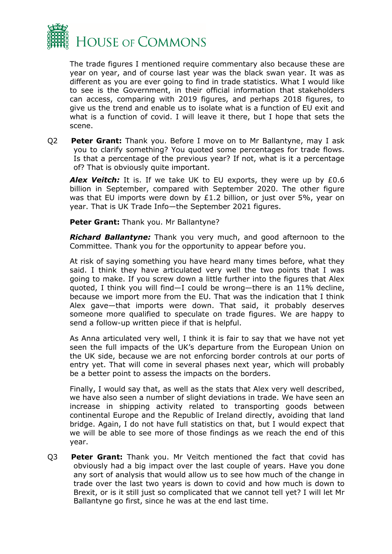

The trade figures I mentioned require commentary also because these are year on year, and of course last year was the black swan year. It was as different as you are ever going to find in trade statistics. What I would like to see is the Government, in their official information that stakeholders can access, comparing with 2019 figures, and perhaps 2018 figures, to give us the trend and enable us to isolate what is a function of EU exit and what is a function of covid. I will leave it there, but I hope that sets the scene.

Q2 **Peter Grant:** Thank you. Before I move on to Mr Ballantyne, may I ask you to clarify something? You quoted some percentages for trade flows. Is that a percentage of the previous year? If not, what is it a percentage of? That is obviously quite important.

Alex Veitch: It is. If we take UK to EU exports, they were up by £0.6 billion in September, compared with September 2020. The other figure was that EU imports were down by £1.2 billion, or just over 5%, year on year. That is UK Trade Info—the September 2021 figures.

**Peter Grant:** Thank you. Mr Ballantyne?

*Richard Ballantyne:* Thank you very much, and good afternoon to the Committee. Thank you for the opportunity to appear before you.

At risk of saying something you have heard many times before, what they said. I think they have articulated very well the two points that I was going to make. If you screw down a little further into the figures that Alex quoted, I think you will find—I could be wrong—there is an 11% decline, because we import more from the EU. That was the indication that I think Alex gave—that imports were down. That said, it probably deserves someone more qualified to speculate on trade figures. We are happy to send a follow-up written piece if that is helpful.

As Anna articulated very well, I think it is fair to say that we have not yet seen the full impacts of the UK's departure from the European Union on the UK side, because we are not enforcing border controls at our ports of entry yet. That will come in several phases next year, which will probably be a better point to assess the impacts on the borders.

Finally, I would say that, as well as the stats that Alex very well described, we have also seen a number of slight deviations in trade. We have seen an increase in shipping activity related to transporting goods between continental Europe and the Republic of Ireland directly, avoiding that land bridge. Again, I do not have full statistics on that, but I would expect that we will be able to see more of those findings as we reach the end of this year.

Q3 **Peter Grant:** Thank you. Mr Veitch mentioned the fact that covid has obviously had a big impact over the last couple of years. Have you done any sort of analysis that would allow us to see how much of the change in trade over the last two years is down to covid and how much is down to Brexit, or is it still just so complicated that we cannot tell yet? I will let Mr Ballantyne go first, since he was at the end last time.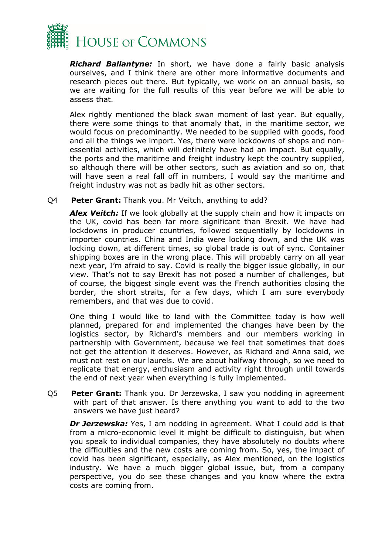

*Richard Ballantyne:* In short, we have done a fairly basic analysis ourselves, and I think there are other more informative documents and research pieces out there. But typically, we work on an annual basis, so we are waiting for the full results of this year before we will be able to assess that.

Alex rightly mentioned the black swan moment of last year. But equally, there were some things to that anomaly that, in the maritime sector, we would focus on predominantly. We needed to be supplied with goods, food and all the things we import. Yes, there were lockdowns of shops and nonessential activities, which will definitely have had an impact. But equally, the ports and the maritime and freight industry kept the country supplied, so although there will be other sectors, such as aviation and so on, that will have seen a real fall off in numbers, I would say the maritime and freight industry was not as badly hit as other sectors.

#### Q4 **Peter Grant:** Thank you. Mr Veitch, anything to add?

**Alex Veitch:** If we look globally at the supply chain and how it impacts on the UK, covid has been far more significant than Brexit. We have had lockdowns in producer countries, followed sequentially by lockdowns in importer countries. China and India were locking down, and the UK was locking down, at different times, so global trade is out of sync. Container shipping boxes are in the wrong place. This will probably carry on all year next year, I'm afraid to say. Covid is really the bigger issue globally, in our view. That's not to say Brexit has not posed a number of challenges, but of course, the biggest single event was the French authorities closing the border, the short straits, for a few days, which I am sure everybody remembers, and that was due to covid.

One thing I would like to land with the Committee today is how well planned, prepared for and implemented the changes have been by the logistics sector, by Richard's members and our members working in partnership with Government, because we feel that sometimes that does not get the attention it deserves. However, as Richard and Anna said, we must not rest on our laurels. We are about halfway through, so we need to replicate that energy, enthusiasm and activity right through until towards the end of next year when everything is fully implemented.

Q5 **Peter Grant:** Thank you. Dr Jerzewska, I saw you nodding in agreement with part of that answer. Is there anything you want to add to the two answers we have just heard?

*Dr Jerzewska:* Yes, I am nodding in agreement. What I could add is that from a micro-economic level it might be difficult to distinguish, but when you speak to individual companies, they have absolutely no doubts where the difficulties and the new costs are coming from. So, yes, the impact of covid has been significant, especially, as Alex mentioned, on the logistics industry. We have a much bigger global issue, but, from a company perspective, you do see these changes and you know where the extra costs are coming from.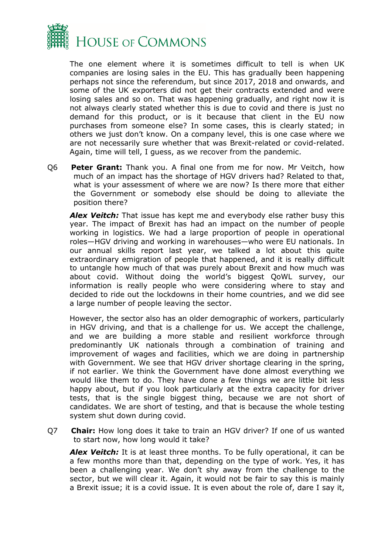

The one element where it is sometimes difficult to tell is when UK companies are losing sales in the EU. This has gradually been happening perhaps not since the referendum, but since 2017, 2018 and onwards, and some of the UK exporters did not get their contracts extended and were losing sales and so on. That was happening gradually, and right now it is not always clearly stated whether this is due to covid and there is just no demand for this product, or is it because that client in the EU now purchases from someone else? In some cases, this is clearly stated; in others we just don't know. On a company level, this is one case where we are not necessarily sure whether that was Brexit-related or covid-related. Again, time will tell, I guess, as we recover from the pandemic.

Q6 **Peter Grant:** Thank you. A final one from me for now. Mr Veitch, how much of an impact has the shortage of HGV drivers had? Related to that, what is your assessment of where we are now? Is there more that either the Government or somebody else should be doing to alleviate the position there?

*Alex Veitch:* That issue has kept me and everybody else rather busy this year. The impact of Brexit has had an impact on the number of people working in logistics. We had a large proportion of people in operational roles—HGV driving and working in warehouses—who were EU nationals. In our annual skills report last year, we talked a lot about this quite extraordinary emigration of people that happened, and it is really difficult to untangle how much of that was purely about Brexit and how much was about covid. Without doing the world's biggest QoWL survey, our information is really people who were considering where to stay and decided to ride out the lockdowns in their home countries, and we did see a large number of people leaving the sector.

However, the sector also has an older demographic of workers, particularly in HGV driving, and that is a challenge for us. We accept the challenge, and we are building a more stable and resilient workforce through predominantly UK nationals through a combination of training and improvement of wages and facilities, which we are doing in partnership with Government. We see that HGV driver shortage clearing in the spring, if not earlier. We think the Government have done almost everything we would like them to do. They have done a few things we are little bit less happy about, but if you look particularly at the extra capacity for driver tests, that is the single biggest thing, because we are not short of candidates. We are short of testing, and that is because the whole testing system shut down during covid.

Q7 **Chair:** How long does it take to train an HGV driver? If one of us wanted to start now, how long would it take?

*Alex Veitch:* It is at least three months. To be fully operational, it can be a few months more than that, depending on the type of work. Yes, it has been a challenging year. We don't shy away from the challenge to the sector, but we will clear it. Again, it would not be fair to say this is mainly a Brexit issue; it is a covid issue. It is even about the role of, dare I say it,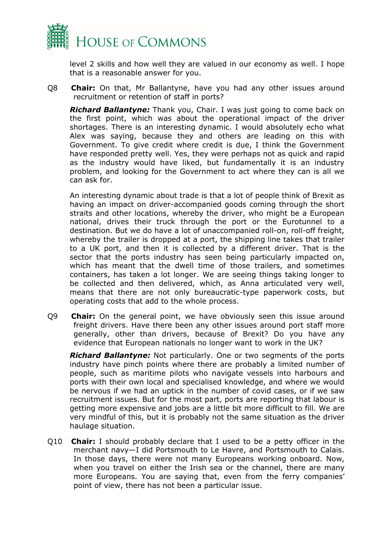

level 2 skills and how well they are valued in our economy as well. I hope that is a reasonable answer for you.

Q8 **Chair:** On that, Mr Ballantyne, have you had any other issues around recruitment or retention of staff in ports?

*Richard Ballantyne:* Thank you, Chair. I was just going to come back on the first point, which was about the operational impact of the driver shortages. There is an interesting dynamic. I would absolutely echo what Alex was saying, because they and others are leading on this with Government. To give credit where credit is due, I think the Government have responded pretty well. Yes, they were perhaps not as quick and rapid as the industry would have liked, but fundamentally it is an industry problem, and looking for the Government to act where they can is all we can ask for.

An interesting dynamic about trade is that a lot of people think of Brexit as having an impact on driver-accompanied goods coming through the short straits and other locations, whereby the driver, who might be a European national, drives their truck through the port or the Eurotunnel to a destination. But we do have a lot of unaccompanied roll-on, roll-off freight, whereby the trailer is dropped at a port, the shipping line takes that trailer to a UK port, and then it is collected by a different driver. That is the sector that the ports industry has seen being particularly impacted on, which has meant that the dwell time of those trailers, and sometimes containers, has taken a lot longer. We are seeing things taking longer to be collected and then delivered, which, as Anna articulated very well, means that there are not only bureaucratic-type paperwork costs, but operating costs that add to the whole process.

Q9 **Chair:** On the general point, we have obviously seen this issue around freight drivers. Have there been any other issues around port staff more generally, other than drivers, because of Brexit? Do you have any evidence that European nationals no longer want to work in the UK?

*Richard Ballantyne:* Not particularly. One or two segments of the ports industry have pinch points where there are probably a limited number of people, such as maritime pilots who navigate vessels into harbours and ports with their own local and specialised knowledge, and where we would be nervous if we had an uptick in the number of covid cases, or if we saw recruitment issues. But for the most part, ports are reporting that labour is getting more expensive and jobs are a little bit more difficult to fill. We are very mindful of this, but it is probably not the same situation as the driver haulage situation.

Q10 **Chair:** I should probably declare that I used to be a petty officer in the merchant navy—I did Portsmouth to Le Havre, and Portsmouth to Calais. In those days, there were not many Europeans working onboard. Now, when you travel on either the Irish sea or the channel, there are many more Europeans. You are saying that, even from the ferry companies' point of view, there has not been a particular issue.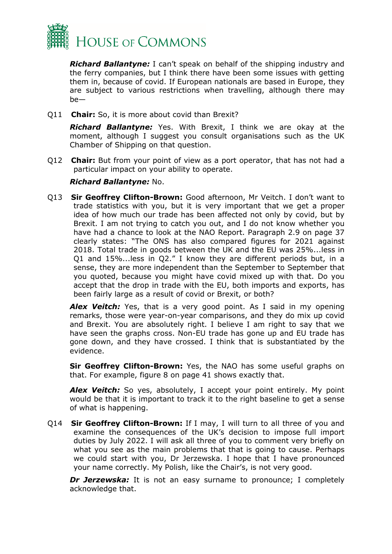

*Richard Ballantyne:* I can't speak on behalf of the shipping industry and the ferry companies, but I think there have been some issues with getting them in, because of covid. If European nationals are based in Europe, they are subject to various restrictions when travelling, although there may be—

Q11 **Chair:** So, it is more about covid than Brexit?

*Richard Ballantyne:* Yes. With Brexit, I think we are okay at the moment, although I suggest you consult organisations such as the UK Chamber of Shipping on that question.

Q12 **Chair:** But from your point of view as a port operator, that has not had a particular impact on your ability to operate.

#### *Richard Ballantyne:* No.

Q13 **Sir Geoffrey Clifton-Brown:** Good afternoon, Mr Veitch. I don't want to trade statistics with you, but it is very important that we get a proper idea of how much our trade has been affected not only by covid, but by Brexit. I am not trying to catch you out, and I do not know whether you have had a chance to look at the NAO Report. Paragraph 2.9 on page 37 clearly states: "The ONS has also compared figures for 2021 against 2018. Total trade in goods between the UK and the EU was 25%...less in Q1 and 15%...less in Q2." I know they are different periods but, in a sense, they are more independent than the September to September that you quoted, because you might have covid mixed up with that. Do you accept that the drop in trade with the EU, both imports and exports, has been fairly large as a result of covid or Brexit, or both?

**Alex Veitch:** Yes, that is a very good point. As I said in my opening remarks, those were year-on-year comparisons, and they do mix up covid and Brexit. You are absolutely right. I believe I am right to say that we have seen the graphs cross. Non-EU trade has gone up and EU trade has gone down, and they have crossed. I think that is substantiated by the evidence.

**Sir Geoffrey Clifton-Brown:** Yes, the NAO has some useful graphs on that. For example, figure 8 on page 41 shows exactly that.

**Alex Veitch:** So yes, absolutely, I accept your point entirely. My point would be that it is important to track it to the right baseline to get a sense of what is happening.

Q14 **Sir Geoffrey Clifton-Brown:** If I may, I will turn to all three of you and examine the consequences of the UK's decision to impose full import duties by July 2022. I will ask all three of you to comment very briefly on what you see as the main problems that that is going to cause. Perhaps we could start with you, Dr Jerzewska. I hope that I have pronounced your name correctly. My Polish, like the Chair's, is not very good.

**Dr Jerzewska:** It is not an easy surname to pronounce; I completely acknowledge that.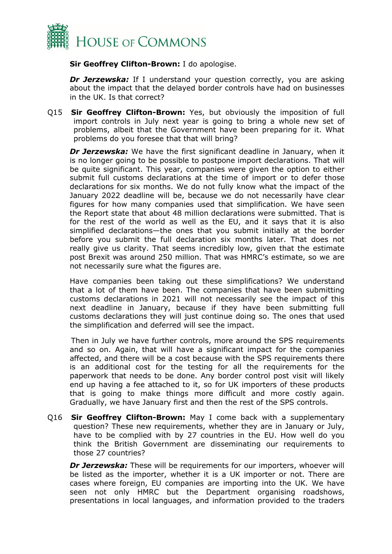

**Sir Geoffrey Clifton-Brown:** I do apologise.

**Dr Jerzewska:** If I understand your question correctly, you are asking about the impact that the delayed border controls have had on businesses in the UK. Is that correct?

Q15 **Sir Geoffrey Clifton-Brown:** Yes, but obviously the imposition of full import controls in July next year is going to bring a whole new set of problems, albeit that the Government have been preparing for it. What problems do you foresee that that will bring?

*Dr Jerzewska:* We have the first significant deadline in January, when it is no longer going to be possible to postpone import declarations. That will be quite significant. This year, companies were given the option to either submit full customs declarations at the time of import or to defer those declarations for six months. We do not fully know what the impact of the January 2022 deadline will be, because we do not necessarily have clear figures for how many companies used that simplification. We have seen the Report state that about 48 million declarations were submitted. That is for the rest of the world as well as the EU, and it says that it is also simplified declarations—the ones that you submit initially at the border before you submit the full declaration six months later. That does not really give us clarity. That seems incredibly low, given that the estimate post Brexit was around 250 million. That was HMRC's estimate, so we are not necessarily sure what the figures are.

Have companies been taking out these simplifications? We understand that a lot of them have been. The companies that have been submitting customs declarations in 2021 will not necessarily see the impact of this next deadline in January, because if they have been submitting full customs declarations they will just continue doing so. The ones that used the simplification and deferred will see the impact.

Then in July we have further controls, more around the SPS requirements and so on. Again, that will have a significant impact for the companies affected, and there will be a cost because with the SPS requirements there is an additional cost for the testing for all the requirements for the paperwork that needs to be done. Any border control post visit will likely end up having a fee attached to it, so for UK importers of these products that is going to make things more difficult and more costly again. Gradually, we have January first and then the rest of the SPS controls.

Q16 **Sir Geoffrey Clifton-Brown:** May I come back with a supplementary question? These new requirements, whether they are in January or July, have to be complied with by 27 countries in the EU. How well do you think the British Government are disseminating our requirements to those 27 countries?

*Dr Jerzewska:* These will be requirements for our importers, whoever will be listed as the importer, whether it is a UK importer or not. There are cases where foreign, EU companies are importing into the UK. We have seen not only HMRC but the Department organising roadshows, presentations in local languages, and information provided to the traders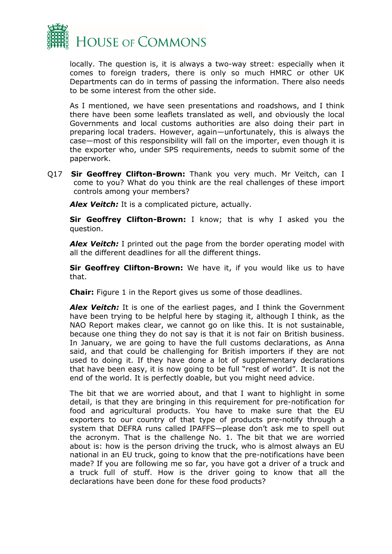

locally. The question is, it is always a two-way street: especially when it comes to foreign traders, there is only so much HMRC or other UK Departments can do in terms of passing the information. There also needs to be some interest from the other side.

As I mentioned, we have seen presentations and roadshows, and I think there have been some leaflets translated as well, and obviously the local Governments and local customs authorities are also doing their part in preparing local traders. However, again—unfortunately, this is always the case—most of this responsibility will fall on the importer, even though it is the exporter who, under SPS requirements, needs to submit some of the paperwork.

Q17 **Sir Geoffrey Clifton-Brown:** Thank you very much. Mr Veitch, can I come to you? What do you think are the real challenges of these import controls among your members?

*Alex Veitch:* It is a complicated picture, actually.

**Sir Geoffrey Clifton-Brown:** I know; that is why I asked you the question.

*Alex Veitch:* I printed out the page from the border operating model with all the different deadlines for all the different things.

**Sir Geoffrey Clifton-Brown:** We have it, if you would like us to have that.

**Chair:** Figure 1 in the Report gives us some of those deadlines.

*Alex Veitch:* It is one of the earliest pages, and I think the Government have been trying to be helpful here by staging it, although I think, as the NAO Report makes clear, we cannot go on like this. It is not sustainable, because one thing they do not say is that it is not fair on British business. In January, we are going to have the full customs declarations, as Anna said, and that could be challenging for British importers if they are not used to doing it. If they have done a lot of supplementary declarations that have been easy, it is now going to be full "rest of world". It is not the end of the world. It is perfectly doable, but you might need advice.

The bit that we are worried about, and that I want to highlight in some detail, is that they are bringing in this requirement for pre-notification for food and agricultural products. You have to make sure that the EU exporters to our country of that type of products pre-notify through a system that DEFRA runs called IPAFFS—please don't ask me to spell out the acronym. That is the challenge No. 1. The bit that we are worried about is: how is the person driving the truck, who is almost always an EU national in an EU truck, going to know that the pre-notifications have been made? If you are following me so far, you have got a driver of a truck and a truck full of stuff. How is the driver going to know that all the declarations have been done for these food products?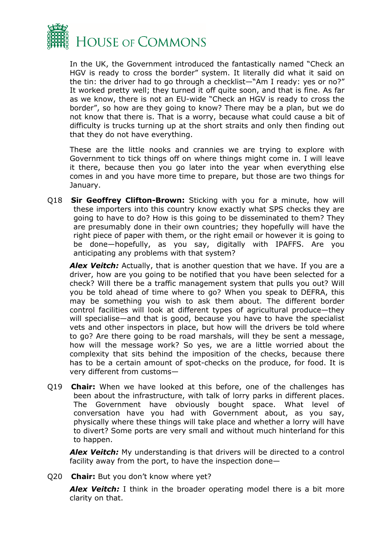

In the UK, the Government introduced the fantastically named "Check an HGV is ready to cross the border" system. It literally did what it said on the tin: the driver had to go through a checklist—"Am I ready: yes or no?" It worked pretty well; they turned it off quite soon, and that is fine. As far as we know, there is not an EU-wide "Check an HGV is ready to cross the border", so how are they going to know? There may be a plan, but we do not know that there is. That is a worry, because what could cause a bit of difficulty is trucks turning up at the short straits and only then finding out that they do not have everything.

These are the little nooks and crannies we are trying to explore with Government to tick things off on where things might come in. I will leave it there, because then you go later into the year when everything else comes in and you have more time to prepare, but those are two things for January.

Q18 **Sir Geoffrey Clifton-Brown:** Sticking with you for a minute, how will these importers into this country know exactly what SPS checks they are going to have to do? How is this going to be disseminated to them? They are presumably done in their own countries; they hopefully will have the right piece of paper with them, or the right email or however it is going to be done—hopefully, as you say, digitally with IPAFFS. Are you anticipating any problems with that system?

*Alex Veitch:* Actually, that is another question that we have. If you are a driver, how are you going to be notified that you have been selected for a check? Will there be a traffic management system that pulls you out? Will you be told ahead of time where to go? When you speak to DEFRA, this may be something you wish to ask them about. The different border control facilities will look at different types of agricultural produce—they will specialise—and that is good, because you have to have the specialist vets and other inspectors in place, but how will the drivers be told where to go? Are there going to be road marshals, will they be sent a message, how will the message work? So yes, we are a little worried about the complexity that sits behind the imposition of the checks, because there has to be a certain amount of spot-checks on the produce, for food. It is very different from customs—

Q19 **Chair:** When we have looked at this before, one of the challenges has been about the infrastructure, with talk of lorry parks in different places. The Government have obviously bought space. What level of conversation have you had with Government about, as you say, physically where these things will take place and whether a lorry will have to divert? Some ports are very small and without much hinterland for this to happen.

*Alex Veitch:* My understanding is that drivers will be directed to a control facility away from the port, to have the inspection done—

Q20 **Chair:** But you don't know where yet?

*Alex Veitch:* I think in the broader operating model there is a bit more clarity on that.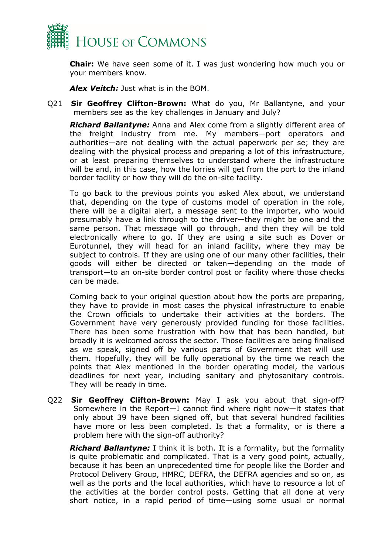

**Chair:** We have seen some of it. I was just wondering how much you or your members know.

*Alex Veitch:* Just what is in the BOM.

Q21 **Sir Geoffrey Clifton-Brown:** What do you, Mr Ballantyne, and your members see as the key challenges in January and July?

*Richard Ballantyne:* Anna and Alex come from a slightly different area of the freight industry from me. My members—port operators and authorities—are not dealing with the actual paperwork per se; they are dealing with the physical process and preparing a lot of this infrastructure, or at least preparing themselves to understand where the infrastructure will be and, in this case, how the lorries will get from the port to the inland border facility or how they will do the on-site facility.

To go back to the previous points you asked Alex about, we understand that, depending on the type of customs model of operation in the role, there will be a digital alert, a message sent to the importer, who would presumably have a link through to the driver—they might be one and the same person. That message will go through, and then they will be told electronically where to go. If they are using a site such as Dover or Eurotunnel, they will head for an inland facility, where they may be subject to controls. If they are using one of our many other facilities, their goods will either be directed or taken—depending on the mode of transport—to an on-site border control post or facility where those checks can be made.

Coming back to your original question about how the ports are preparing, they have to provide in most cases the physical infrastructure to enable the Crown officials to undertake their activities at the borders. The Government have very generously provided funding for those facilities. There has been some frustration with how that has been handled, but broadly it is welcomed across the sector. Those facilities are being finalised as we speak, signed off by various parts of Government that will use them. Hopefully, they will be fully operational by the time we reach the points that Alex mentioned in the border operating model, the various deadlines for next year, including sanitary and phytosanitary controls. They will be ready in time.

Q22 **Sir Geoffrey Clifton-Brown:** May I ask you about that sign-off? Somewhere in the Report—I cannot find where right now—it states that only about 39 have been signed off, but that several hundred facilities have more or less been completed. Is that a formality, or is there a problem here with the sign-off authority?

*Richard Ballantyne:* I think it is both. It is a formality, but the formality is quite problematic and complicated. That is a very good point, actually, because it has been an unprecedented time for people like the Border and Protocol Delivery Group, HMRC, DEFRA, the DEFRA agencies and so on, as well as the ports and the local authorities, which have to resource a lot of the activities at the border control posts. Getting that all done at very short notice, in a rapid period of time—using some usual or normal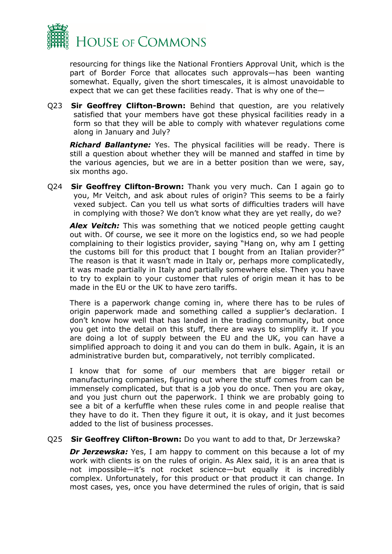

resourcing for things like the National Frontiers Approval Unit, which is the part of Border Force that allocates such approvals—has been wanting somewhat. Equally, given the short timescales, it is almost unavoidable to expect that we can get these facilities ready. That is why one of the—

Q23 **Sir Geoffrey Clifton-Brown:** Behind that question, are you relatively satisfied that your members have got these physical facilities ready in a form so that they will be able to comply with whatever regulations come along in January and July?

*Richard Ballantyne:* Yes. The physical facilities will be ready. There is still a question about whether they will be manned and staffed in time by the various agencies, but we are in a better position than we were, say, six months ago.

Q24 **Sir Geoffrey Clifton-Brown:** Thank you very much. Can I again go to you, Mr Veitch, and ask about rules of origin? This seems to be a fairly vexed subject. Can you tell us what sorts of difficulties traders will have in complying with those? We don't know what they are yet really, do we?

*Alex Veitch:* This was something that we noticed people getting caught out with. Of course, we see it more on the logistics end, so we had people complaining to their logistics provider, saying "Hang on, why am I getting the customs bill for this product that I bought from an Italian provider?" The reason is that it wasn't made in Italy or, perhaps more complicatedly, it was made partially in Italy and partially somewhere else. Then you have to try to explain to your customer that rules of origin mean it has to be made in the EU or the UK to have zero tariffs.

There is a paperwork change coming in, where there has to be rules of origin paperwork made and something called a supplier's declaration. I don't know how well that has landed in the trading community, but once you get into the detail on this stuff, there are ways to simplify it. If you are doing a lot of supply between the EU and the UK, you can have a simplified approach to doing it and you can do them in bulk. Again, it is an administrative burden but, comparatively, not terribly complicated.

I know that for some of our members that are bigger retail or manufacturing companies, figuring out where the stuff comes from can be immensely complicated, but that is a job you do once. Then you are okay, and you just churn out the paperwork. I think we are probably going to see a bit of a kerfuffle when these rules come in and people realise that they have to do it. Then they figure it out, it is okay, and it just becomes added to the list of business processes.

Q25 **Sir Geoffrey Clifton-Brown:** Do you want to add to that, Dr Jerzewska?

*Dr Jerzewska:* Yes, I am happy to comment on this because a lot of my work with clients is on the rules of origin. As Alex said, it is an area that is not impossible—it's not rocket science—but equally it is incredibly complex. Unfortunately, for this product or that product it can change. In most cases, yes, once you have determined the rules of origin, that is said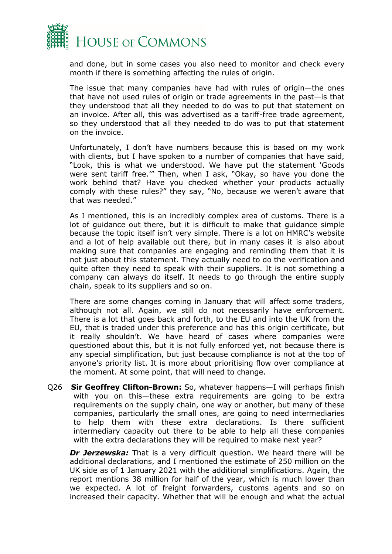

and done, but in some cases you also need to monitor and check every month if there is something affecting the rules of origin.

The issue that many companies have had with rules of origin—the ones that have not used rules of origin or trade agreements in the past—is that they understood that all they needed to do was to put that statement on an invoice. After all, this was advertised as a tariff-free trade agreement, so they understood that all they needed to do was to put that statement on the invoice.

Unfortunately, I don't have numbers because this is based on my work with clients, but I have spoken to a number of companies that have said, "Look, this is what we understood. We have put the statement 'Goods were sent tariff free.'" Then, when I ask, "Okay, so have you done the work behind that? Have you checked whether your products actually comply with these rules?" they say, "No, because we weren't aware that that was needed."

As I mentioned, this is an incredibly complex area of customs. There is a lot of guidance out there, but it is difficult to make that guidance simple because the topic itself isn't very simple. There is a lot on HMRC's website and a lot of help available out there, but in many cases it is also about making sure that companies are engaging and reminding them that it is not just about this statement. They actually need to do the verification and quite often they need to speak with their suppliers. It is not something a company can always do itself. It needs to go through the entire supply chain, speak to its suppliers and so on.

There are some changes coming in January that will affect some traders, although not all. Again, we still do not necessarily have enforcement. There is a lot that goes back and forth, to the EU and into the UK from the EU, that is traded under this preference and has this origin certificate, but it really shouldn't. We have heard of cases where companies were questioned about this, but it is not fully enforced yet, not because there is any special simplification, but just because compliance is not at the top of anyone's priority list. It is more about prioritising flow over compliance at the moment. At some point, that will need to change.

Q26 **Sir Geoffrey Clifton-Brown:** So, whatever happens—I will perhaps finish with you on this—these extra requirements are going to be extra requirements on the supply chain, one way or another, but many of these companies, particularly the small ones, are going to need intermediaries to help them with these extra declarations. Is there sufficient intermediary capacity out there to be able to help all these companies with the extra declarations they will be required to make next year?

**Dr Jerzewska:** That is a very difficult question. We heard there will be additional declarations, and I mentioned the estimate of 250 million on the UK side as of 1 January 2021 with the additional simplifications. Again, the report mentions 38 million for half of the year, which is much lower than we expected. A lot of freight forwarders, customs agents and so on increased their capacity. Whether that will be enough and what the actual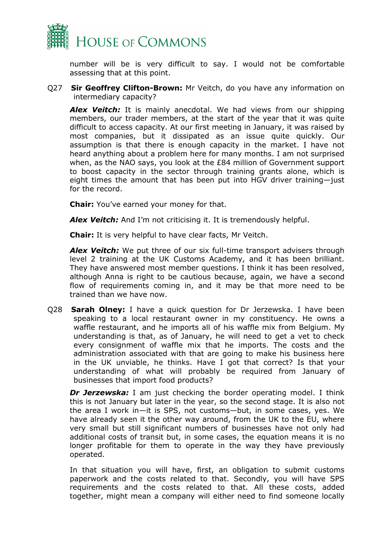

number will be is very difficult to say. I would not be comfortable assessing that at this point.

Q27 **Sir Geoffrey Clifton-Brown:** Mr Veitch, do you have any information on intermediary capacity?

**Alex Veitch:** It is mainly anecdotal. We had views from our shipping members, our trader members, at the start of the year that it was quite difficult to access capacity. At our first meeting in January, it was raised by most companies, but it dissipated as an issue quite quickly. Our assumption is that there is enough capacity in the market. I have not heard anything about a problem here for many months. I am not surprised when, as the NAO says, you look at the £84 million of Government support to boost capacity in the sector through training grants alone, which is eight times the amount that has been put into HGV driver training—just for the record.

**Chair:** You've earned your money for that.

*Alex Veitch:* And I'm not criticising it. It is tremendously helpful.

**Chair:** It is very helpful to have clear facts, Mr Veitch.

*Alex Veitch:* We put three of our six full-time transport advisers through level 2 training at the UK Customs Academy, and it has been brilliant. They have answered most member questions. I think it has been resolved, although Anna is right to be cautious because, again, we have a second flow of requirements coming in, and it may be that more need to be trained than we have now.

Q28 **Sarah Olney:** I have a quick question for Dr Jerzewska. I have been speaking to a local restaurant owner in my constituency. He owns a waffle restaurant, and he imports all of his waffle mix from Belgium. My understanding is that, as of January, he will need to get a vet to check every consignment of waffle mix that he imports. The costs and the administration associated with that are going to make his business here in the UK unviable, he thinks. Have I got that correct? Is that your understanding of what will probably be required from January of businesses that import food products?

*Dr Jerzewska:* I am just checking the border operating model. I think this is not January but later in the year, so the second stage. It is also not the area I work in—it is SPS, not customs—but, in some cases, yes. We have already seen it the other way around, from the UK to the EU, where very small but still significant numbers of businesses have not only had additional costs of transit but, in some cases, the equation means it is no longer profitable for them to operate in the way they have previously operated.

In that situation you will have, first, an obligation to submit customs paperwork and the costs related to that. Secondly, you will have SPS requirements and the costs related to that. All these costs, added together, might mean a company will either need to find someone locally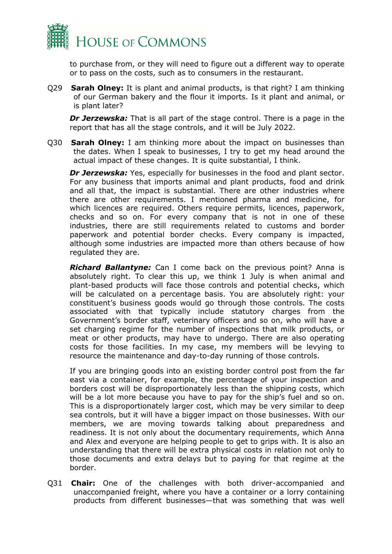

to purchase from, or they will need to figure out a different way to operate or to pass on the costs, such as to consumers in the restaurant.

Q29 **Sarah Olney:** It is plant and animal products, is that right? I am thinking of our German bakery and the flour it imports. Is it plant and animal, or is plant later?

*Dr Jerzewska:* That is all part of the stage control. There is a page in the report that has all the stage controls, and it will be July 2022.

Q30 **Sarah Olney:** I am thinking more about the impact on businesses than the dates. When I speak to businesses, I try to get my head around the actual impact of these changes. It is quite substantial, I think.

*Dr Jerzewska:* Yes, especially for businesses in the food and plant sector. For any business that imports animal and plant products, food and drink and all that, the impact is substantial. There are other industries where there are other requirements. I mentioned pharma and medicine, for which licences are required. Others require permits, licences, paperwork, checks and so on. For every company that is not in one of these industries, there are still requirements related to customs and border paperwork and potential border checks. Every company is impacted, although some industries are impacted more than others because of how regulated they are.

*Richard Ballantyne:* Can I come back on the previous point? Anna is absolutely right. To clear this up, we think 1 July is when animal and plant-based products will face those controls and potential checks, which will be calculated on a percentage basis. You are absolutely right: your constituent's business goods would go through those controls. The costs associated with that typically include statutory charges from the Government's border staff, veterinary officers and so on, who will have a set charging regime for the number of inspections that milk products, or meat or other products, may have to undergo. There are also operating costs for those facilities. In my case, my members will be levying to resource the maintenance and day-to-day running of those controls.

If you are bringing goods into an existing border control post from the far east via a container, for example, the percentage of your inspection and borders cost will be disproportionately less than the shipping costs, which will be a lot more because you have to pay for the ship's fuel and so on. This is a disproportionately larger cost, which may be very similar to deep sea controls, but it will have a bigger impact on those businesses. With our members, we are moving towards talking about preparedness and readiness. It is not only about the documentary requirements, which Anna and Alex and everyone are helping people to get to grips with. It is also an understanding that there will be extra physical costs in relation not only to those documents and extra delays but to paying for that regime at the border.

Q31 **Chair:** One of the challenges with both driver-accompanied and unaccompanied freight, where you have a container or a lorry containing products from different businesses—that was something that was well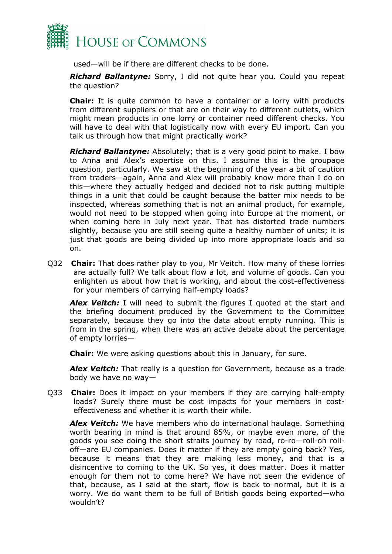

used—will be if there are different checks to be done.

*Richard Ballantyne:* Sorry, I did not quite hear you. Could you repeat the question?

**Chair:** It is quite common to have a container or a lorry with products from different suppliers or that are on their way to different outlets, which might mean products in one lorry or container need different checks. You will have to deal with that logistically now with every EU import. Can you talk us through how that might practically work?

*Richard Ballantyne:* Absolutely; that is a very good point to make. I bow to Anna and Alex's expertise on this. I assume this is the groupage question, particularly. We saw at the beginning of the year a bit of caution from traders—again, Anna and Alex will probably know more than I do on this—where they actually hedged and decided not to risk putting multiple things in a unit that could be caught because the batter mix needs to be inspected, whereas something that is not an animal product, for example, would not need to be stopped when going into Europe at the moment, or when coming here in July next year. That has distorted trade numbers slightly, because you are still seeing quite a healthy number of units; it is just that goods are being divided up into more appropriate loads and so on.

Q32 **Chair:** That does rather play to you, Mr Veitch. How many of these lorries are actually full? We talk about flow a lot, and volume of goods. Can you enlighten us about how that is working, and about the cost-effectiveness for your members of carrying half-empty loads?

*Alex Veitch:* I will need to submit the figures I quoted at the start and the briefing document produced by the Government to the Committee separately, because they go into the data about empty running. This is from in the spring, when there was an active debate about the percentage of empty lorries—

**Chair:** We were asking questions about this in January, for sure.

*Alex Veitch:* That really is a question for Government, because as a trade body we have no way—

Q33 **Chair:** Does it impact on your members if they are carrying half-empty loads? Surely there must be cost impacts for your members in costeffectiveness and whether it is worth their while.

*Alex Veitch:* We have members who do international haulage. Something worth bearing in mind is that around 85%, or maybe even more, of the goods you see doing the short straits journey by road, ro-ro—roll-on rolloff—are EU companies. Does it matter if they are empty going back? Yes, because it means that they are making less money, and that is a disincentive to coming to the UK. So yes, it does matter. Does it matter enough for them not to come here? We have not seen the evidence of that, because, as I said at the start, flow is back to normal, but it is a worry. We do want them to be full of British goods being exported—who wouldn't?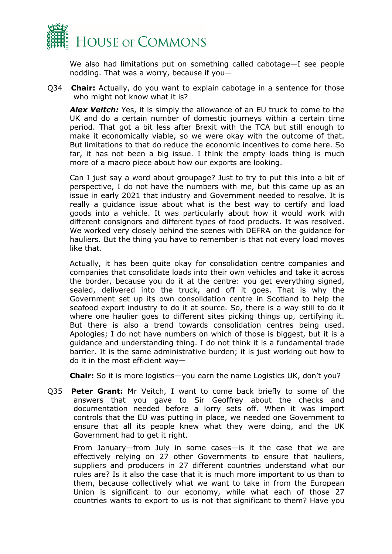

We also had limitations put on something called cabotage—I see people nodding. That was a worry, because if you—

Q34 **Chair:** Actually, do you want to explain cabotage in a sentence for those who might not know what it is?

*Alex Veitch:* Yes, it is simply the allowance of an EU truck to come to the UK and do a certain number of domestic journeys within a certain time period. That got a bit less after Brexit with the TCA but still enough to make it economically viable, so we were okay with the outcome of that. But limitations to that do reduce the economic incentives to come here. So far, it has not been a big issue. I think the empty loads thing is much more of a macro piece about how our exports are looking.

Can I just say a word about groupage? Just to try to put this into a bit of perspective, I do not have the numbers with me, but this came up as an issue in early 2021 that industry and Government needed to resolve. It is really a guidance issue about what is the best way to certify and load goods into a vehicle. It was particularly about how it would work with different consignors and different types of food products. It was resolved. We worked very closely behind the scenes with DEFRA on the guidance for hauliers. But the thing you have to remember is that not every load moves like that.

Actually, it has been quite okay for consolidation centre companies and companies that consolidate loads into their own vehicles and take it across the border, because you do it at the centre: you get everything signed, sealed, delivered into the truck, and off it goes. That is why the Government set up its own consolidation centre in Scotland to help the seafood export industry to do it at source. So, there is a way still to do it where one haulier goes to different sites picking things up, certifying it. But there is also a trend towards consolidation centres being used. Apologies; I do not have numbers on which of those is biggest, but it is a guidance and understanding thing. I do not think it is a fundamental trade barrier. It is the same administrative burden; it is just working out how to do it in the most efficient way—

**Chair:** So it is more logistics—you earn the name Logistics UK, don't you?

Q35 **Peter Grant:** Mr Veitch, I want to come back briefly to some of the answers that you gave to Sir Geoffrey about the checks and documentation needed before a lorry sets off. When it was import controls that the EU was putting in place, we needed one Government to ensure that all its people knew what they were doing, and the UK Government had to get it right.

From January—from July in some cases—is it the case that we are effectively relying on 27 other Governments to ensure that hauliers, suppliers and producers in 27 different countries understand what our rules are? Is it also the case that it is much more important to us than to them, because collectively what we want to take in from the European Union is significant to our economy, while what each of those 27 countries wants to export to us is not that significant to them? Have you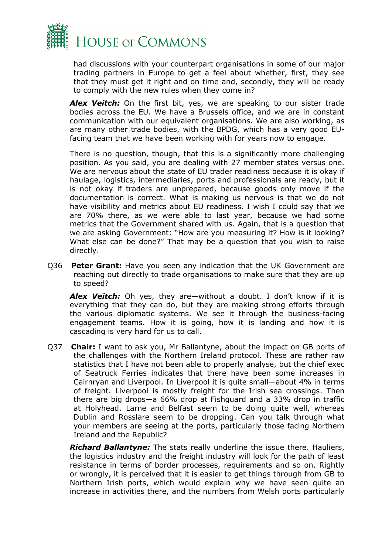

had discussions with your counterpart organisations in some of our major trading partners in Europe to get a feel about whether, first, they see that they must get it right and on time and, secondly, they will be ready to comply with the new rules when they come in?

Alex Veitch: On the first bit, yes, we are speaking to our sister trade bodies across the EU. We have a Brussels office, and we are in constant communication with our equivalent organisations. We are also working, as are many other trade bodies, with the BPDG, which has a very good EUfacing team that we have been working with for years now to engage.

There is no question, though, that this is a significantly more challenging position. As you said, you are dealing with 27 member states versus one. We are nervous about the state of EU trader readiness because it is okay if haulage, logistics, intermediaries, ports and professionals are ready, but it is not okay if traders are unprepared, because goods only move if the documentation is correct. What is making us nervous is that we do not have visibility and metrics about EU readiness. I wish I could say that we are 70% there, as we were able to last year, because we had some metrics that the Government shared with us. Again, that is a question that we are asking Government: "How are you measuring it? How is it looking? What else can be done?" That may be a question that you wish to raise directly.

Q36 **Peter Grant:** Have you seen any indication that the UK Government are reaching out directly to trade organisations to make sure that they are up to speed?

Alex Veitch: Oh yes, they are—without a doubt. I don't know if it is everything that they can do, but they are making strong efforts through the various diplomatic systems. We see it through the business-facing engagement teams. How it is going, how it is landing and how it is cascading is very hard for us to call.

Q37 **Chair:** I want to ask you, Mr Ballantyne, about the impact on GB ports of the challenges with the Northern Ireland protocol. These are rather raw statistics that I have not been able to properly analyse, but the chief exec of Seatruck Ferries indicates that there have been some increases in Cairnryan and Liverpool. In Liverpool it is quite small—about 4% in terms of freight. Liverpool is mostly freight for the Irish sea crossings. Then there are big drops—a 66% drop at Fishguard and a 33% drop in traffic at Holyhead. Larne and Belfast seem to be doing quite well, whereas Dublin and Rosslare seem to be dropping. Can you talk through what your members are seeing at the ports, particularly those facing Northern Ireland and the Republic?

*Richard Ballantyne:* The stats really underline the issue there. Hauliers, the logistics industry and the freight industry will look for the path of least resistance in terms of border processes, requirements and so on. Rightly or wrongly, it is perceived that it is easier to get things through from GB to Northern Irish ports, which would explain why we have seen quite an increase in activities there, and the numbers from Welsh ports particularly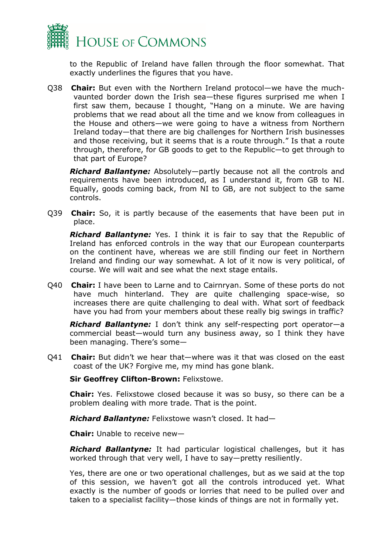

to the Republic of Ireland have fallen through the floor somewhat. That exactly underlines the figures that you have.

Q38 **Chair:** But even with the Northern Ireland protocol—we have the muchvaunted border down the Irish sea—these figures surprised me when I first saw them, because I thought, "Hang on a minute. We are having problems that we read about all the time and we know from colleagues in the House and others—we were going to have a witness from Northern Ireland today—that there are big challenges for Northern Irish businesses and those receiving, but it seems that is a route through." Is that a route through, therefore, for GB goods to get to the Republic—to get through to that part of Europe?

*Richard Ballantyne:* Absolutely—partly because not all the controls and requirements have been introduced, as I understand it, from GB to NI. Equally, goods coming back, from NI to GB, are not subject to the same controls.

Q39 **Chair:** So, it is partly because of the easements that have been put in place.

*Richard Ballantyne:* Yes. I think it is fair to say that the Republic of Ireland has enforced controls in the way that our European counterparts on the continent have, whereas we are still finding our feet in Northern Ireland and finding our way somewhat. A lot of it now is very political, of course. We will wait and see what the next stage entails.

Q40 **Chair:** I have been to Larne and to Cairnryan. Some of these ports do not have much hinterland. They are quite challenging space-wise, so increases there are quite challenging to deal with. What sort of feedback have you had from your members about these really big swings in traffic?

*Richard Ballantyne:* I don't think any self-respecting port operator—a commercial beast—would turn any business away, so I think they have been managing. There's some—

Q41 **Chair:** But didn't we hear that—where was it that was closed on the east coast of the UK? Forgive me, my mind has gone blank.

**Sir Geoffrey Clifton-Brown:** Felixstowe.

**Chair:** Yes. Felixstowe closed because it was so busy, so there can be a problem dealing with more trade. That is the point.

*Richard Ballantyne:* Felixstowe wasn't closed. It had—

**Chair:** Unable to receive new—

*Richard Ballantyne:* It had particular logistical challenges, but it has worked through that very well, I have to say—pretty resiliently.

Yes, there are one or two operational challenges, but as we said at the top of this session, we haven't got all the controls introduced yet. What exactly is the number of goods or lorries that need to be pulled over and taken to a specialist facility—those kinds of things are not in formally yet.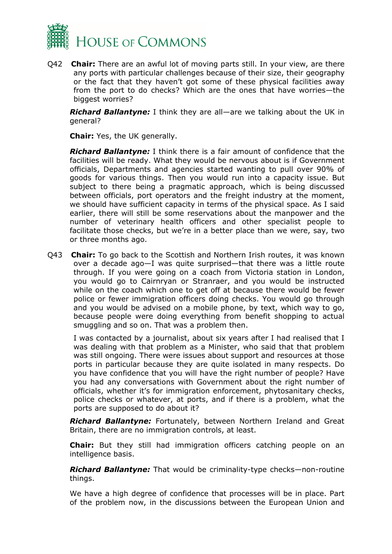

Q42 **Chair:** There are an awful lot of moving parts still. In your view, are there any ports with particular challenges because of their size, their geography or the fact that they haven't got some of these physical facilities away from the port to do checks? Which are the ones that have worries—the biggest worries?

*Richard Ballantyne:* I think they are all—are we talking about the UK in general?

**Chair:** Yes, the UK generally.

*Richard Ballantyne:* I think there is a fair amount of confidence that the facilities will be ready. What they would be nervous about is if Government officials, Departments and agencies started wanting to pull over 90% of goods for various things. Then you would run into a capacity issue. But subject to there being a pragmatic approach, which is being discussed between officials, port operators and the freight industry at the moment, we should have sufficient capacity in terms of the physical space. As I said earlier, there will still be some reservations about the manpower and the number of veterinary health officers and other specialist people to facilitate those checks, but we're in a better place than we were, say, two or three months ago.

Q43 **Chair:** To go back to the Scottish and Northern Irish routes, it was known over a decade ago—I was quite surprised—that there was a little route through. If you were going on a coach from Victoria station in London, you would go to Cairnryan or Stranraer, and you would be instructed while on the coach which one to get off at because there would be fewer police or fewer immigration officers doing checks. You would go through and you would be advised on a mobile phone, by text, which way to go, because people were doing everything from benefit shopping to actual smuggling and so on. That was a problem then.

I was contacted by a journalist, about six years after I had realised that I was dealing with that problem as a Minister, who said that that problem was still ongoing. There were issues about support and resources at those ports in particular because they are quite isolated in many respects. Do you have confidence that you will have the right number of people? Have you had any conversations with Government about the right number of officials, whether it's for immigration enforcement, phytosanitary checks, police checks or whatever, at ports, and if there is a problem, what the ports are supposed to do about it?

*Richard Ballantyne:* Fortunately, between Northern Ireland and Great Britain, there are no immigration controls, at least.

**Chair:** But they still had immigration officers catching people on an intelligence basis.

*Richard Ballantyne:* That would be criminality-type checks—non-routine things.

We have a high degree of confidence that processes will be in place. Part of the problem now, in the discussions between the European Union and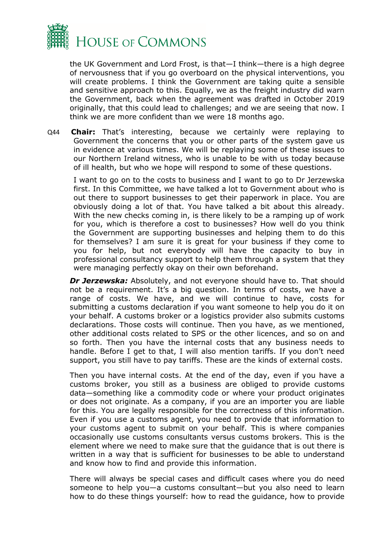

the UK Government and Lord Frost, is that—I think—there is a high degree of nervousness that if you go overboard on the physical interventions, you will create problems. I think the Government are taking quite a sensible and sensitive approach to this. Equally, we as the freight industry did warn the Government, back when the agreement was drafted in October 2019 originally, that this could lead to challenges; and we are seeing that now. I think we are more confident than we were 18 months ago.

Q44 **Chair:** That's interesting, because we certainly were replaying to Government the concerns that you or other parts of the system gave us in evidence at various times. We will be replaying some of these issues to our Northern Ireland witness, who is unable to be with us today because of ill health, but who we hope will respond to some of these questions.

I want to go on to the costs to business and I want to go to Dr Jerzewska first. In this Committee, we have talked a lot to Government about who is out there to support businesses to get their paperwork in place. You are obviously doing a lot of that. You have talked a bit about this already. With the new checks coming in, is there likely to be a ramping up of work for you, which is therefore a cost to businesses? How well do you think the Government are supporting businesses and helping them to do this for themselves? I am sure it is great for your business if they come to you for help, but not everybody will have the capacity to buy in professional consultancy support to help them through a system that they were managing perfectly okay on their own beforehand.

*Dr Jerzewska:* Absolutely, and not everyone should have to. That should not be a requirement. It's a big question. In terms of costs, we have a range of costs. We have, and we will continue to have, costs for submitting a customs declaration if you want someone to help you do it on your behalf. A customs broker or a logistics provider also submits customs declarations. Those costs will continue. Then you have, as we mentioned, other additional costs related to SPS or the other licences, and so on and so forth. Then you have the internal costs that any business needs to handle. Before I get to that, I will also mention tariffs. If you don't need support, you still have to pay tariffs. These are the kinds of external costs.

Then you have internal costs. At the end of the day, even if you have a customs broker, you still as a business are obliged to provide customs data—something like a commodity code or where your product originates or does not originate. As a company, if you are an importer you are liable for this. You are legally responsible for the correctness of this information. Even if you use a customs agent, you need to provide that information to your customs agent to submit on your behalf. This is where companies occasionally use customs consultants versus customs brokers. This is the element where we need to make sure that the guidance that is out there is written in a way that is sufficient for businesses to be able to understand and know how to find and provide this information.

There will always be special cases and difficult cases where you do need someone to help you—a customs consultant—but you also need to learn how to do these things yourself: how to read the guidance, how to provide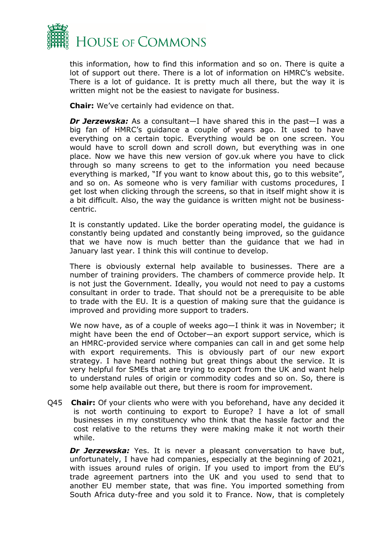

this information, how to find this information and so on. There is quite a lot of support out there. There is a lot of information on HMRC's website. There is a lot of guidance. It is pretty much all there, but the way it is written might not be the easiest to navigate for business.

**Chair:** We've certainly had evidence on that.

*Dr Jerzewska:* As a consultant—I have shared this in the past—I was a big fan of HMRC's guidance a couple of years ago. It used to have everything on a certain topic. Everything would be on one screen. You would have to scroll down and scroll down, but everything was in one place. Now we have this new version of gov.uk where you have to click through so many screens to get to the information you need because everything is marked, "If you want to know about this, go to this website", and so on. As someone who is very familiar with customs procedures, I get lost when clicking through the screens, so that in itself might show it is a bit difficult. Also, the way the guidance is written might not be businesscentric.

It is constantly updated. Like the border operating model, the guidance is constantly being updated and constantly being improved, so the guidance that we have now is much better than the guidance that we had in January last year. I think this will continue to develop.

There is obviously external help available to businesses. There are a number of training providers. The chambers of commerce provide help. It is not just the Government. Ideally, you would not need to pay a customs consultant in order to trade. That should not be a prerequisite to be able to trade with the EU. It is a question of making sure that the guidance is improved and providing more support to traders.

We now have, as of a couple of weeks ago—I think it was in November; it might have been the end of October—an export support service, which is an HMRC-provided service where companies can call in and get some help with export requirements. This is obviously part of our new export strategy. I have heard nothing but great things about the service. It is very helpful for SMEs that are trying to export from the UK and want help to understand rules of origin or commodity codes and so on. So, there is some help available out there, but there is room for improvement.

Q45 **Chair:** Of your clients who were with you beforehand, have any decided it is not worth continuing to export to Europe? I have a lot of small businesses in my constituency who think that the hassle factor and the cost relative to the returns they were making make it not worth their while.

**Dr Jerzewska:** Yes. It is never a pleasant conversation to have but, unfortunately, I have had companies, especially at the beginning of 2021, with issues around rules of origin. If you used to import from the EU's trade agreement partners into the UK and you used to send that to another EU member state, that was fine. You imported something from South Africa duty-free and you sold it to France. Now, that is completely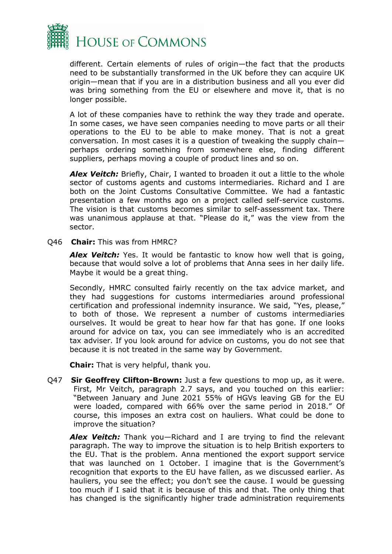

different. Certain elements of rules of origin—the fact that the products need to be substantially transformed in the UK before they can acquire UK origin—mean that if you are in a distribution business and all you ever did was bring something from the EU or elsewhere and move it, that is no longer possible.

A lot of these companies have to rethink the way they trade and operate. In some cases, we have seen companies needing to move parts or all their operations to the EU to be able to make money. That is not a great conversation. In most cases it is a question of tweaking the supply chain perhaps ordering something from somewhere else, finding different suppliers, perhaps moving a couple of product lines and so on.

**Alex Veitch:** Briefly, Chair, I wanted to broaden it out a little to the whole sector of customs agents and customs intermediaries. Richard and I are both on the Joint Customs Consultative Committee. We had a fantastic presentation a few months ago on a project called self-service customs. The vision is that customs becomes similar to self-assessment tax. There was unanimous applause at that. "Please do it," was the view from the sector.

Q46 **Chair:** This was from HMRC?

*Alex Veitch:* Yes. It would be fantastic to know how well that is going, because that would solve a lot of problems that Anna sees in her daily life. Maybe it would be a great thing.

Secondly, HMRC consulted fairly recently on the tax advice market, and they had suggestions for customs intermediaries around professional certification and professional indemnity insurance. We said, "Yes, please," to both of those. We represent a number of customs intermediaries ourselves. It would be great to hear how far that has gone. If one looks around for advice on tax, you can see immediately who is an accredited tax adviser. If you look around for advice on customs, you do not see that because it is not treated in the same way by Government.

**Chair:** That is very helpful, thank you.

Q47 **Sir Geoffrey Clifton-Brown:** Just a few questions to mop up, as it were. First, Mr Veitch, paragraph 2.7 says, and you touched on this earlier: "Between January and June 2021 55% of HGVs leaving GB for the EU were loaded, compared with 66% over the same period in 2018." Of course, this imposes an extra cost on hauliers. What could be done to improve the situation?

*Alex Veitch:* Thank you—Richard and I are trying to find the relevant paragraph. The way to improve the situation is to help British exporters to the EU. That is the problem. Anna mentioned the export support service that was launched on 1 October. I imagine that is the Government's recognition that exports to the EU have fallen, as we discussed earlier. As hauliers, you see the effect; you don't see the cause. I would be guessing too much if I said that it is because of this and that. The only thing that has changed is the significantly higher trade administration requirements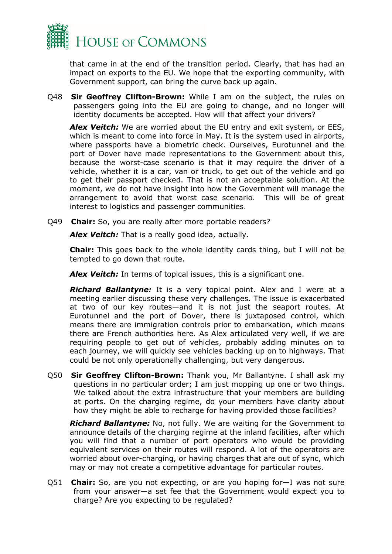

that came in at the end of the transition period. Clearly, that has had an impact on exports to the EU. We hope that the exporting community, with Government support, can bring the curve back up again.

Q48 **Sir Geoffrey Clifton-Brown:** While I am on the subject, the rules on passengers going into the EU are going to change, and no longer will identity documents be accepted. How will that affect your drivers?

*Alex Veitch:* We are worried about the EU entry and exit system, or EES, which is meant to come into force in May. It is the system used in airports, where passports have a biometric check. Ourselves, Eurotunnel and the port of Dover have made representations to the Government about this, because the worst-case scenario is that it may require the driver of a vehicle, whether it is a car, van or truck, to get out of the vehicle and go to get their passport checked. That is not an acceptable solution. At the moment, we do not have insight into how the Government will manage the arrangement to avoid that worst case scenario. This will be of great interest to logistics and passenger communities.

Q49 **Chair:** So, you are really after more portable readers?

*Alex Veitch:* That is a really good idea, actually.

**Chair:** This goes back to the whole identity cards thing, but I will not be tempted to go down that route.

*Alex Veitch:* In terms of topical issues, this is a significant one.

*Richard Ballantyne:* It is a very topical point. Alex and I were at a meeting earlier discussing these very challenges. The issue is exacerbated at two of our key routes—and it is not just the seaport routes. At Eurotunnel and the port of Dover, there is juxtaposed control, which means there are immigration controls prior to embarkation, which means there are French authorities here. As Alex articulated very well, if we are requiring people to get out of vehicles, probably adding minutes on to each journey, we will quickly see vehicles backing up on to highways. That could be not only operationally challenging, but very dangerous.

Q50 **Sir Geoffrey Clifton-Brown:** Thank you, Mr Ballantyne. I shall ask my questions in no particular order; I am just mopping up one or two things. We talked about the extra infrastructure that your members are building at ports. On the charging regime, do your members have clarity about how they might be able to recharge for having provided those facilities?

*Richard Ballantyne:* No, not fully. We are waiting for the Government to announce details of the charging regime at the inland facilities, after which you will find that a number of port operators who would be providing equivalent services on their routes will respond. A lot of the operators are worried about over-charging, or having charges that are out of sync, which may or may not create a competitive advantage for particular routes.

Q51 **Chair:** So, are you not expecting, or are you hoping for—I was not sure from your answer—a set fee that the Government would expect you to charge? Are you expecting to be regulated?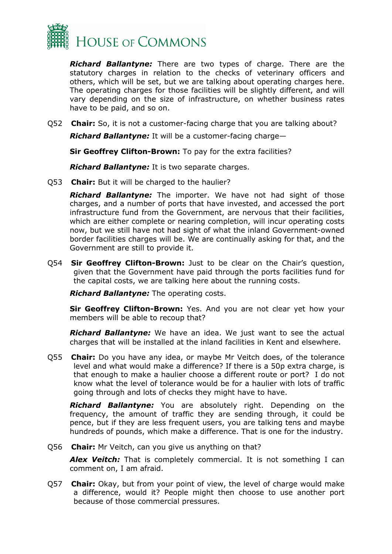

*Richard Ballantyne:* There are two types of charge. There are the statutory charges in relation to the checks of veterinary officers and others, which will be set, but we are talking about operating charges here. The operating charges for those facilities will be slightly different, and will vary depending on the size of infrastructure, on whether business rates have to be paid, and so on.

Q52 **Chair:** So, it is not a customer-facing charge that you are talking about?

*Richard Ballantyne:* It will be a customer-facing charge—

**Sir Geoffrey Clifton-Brown:** To pay for the extra facilities?

*Richard Ballantyne:* It is two separate charges.

Q53 **Chair:** But it will be charged to the haulier?

*Richard Ballantyne:* The importer. We have not had sight of those charges, and a number of ports that have invested, and accessed the port infrastructure fund from the Government, are nervous that their facilities, which are either complete or nearing completion, will incur operating costs now, but we still have not had sight of what the inland Government-owned border facilities charges will be. We are continually asking for that, and the Government are still to provide it.

Q54 **Sir Geoffrey Clifton-Brown:** Just to be clear on the Chair's question, given that the Government have paid through the ports facilities fund for the capital costs, we are talking here about the running costs.

*Richard Ballantyne:* The operating costs.

**Sir Geoffrey Clifton-Brown:** Yes. And you are not clear yet how your members will be able to recoup that?

*Richard Ballantyne:* We have an idea. We just want to see the actual charges that will be installed at the inland facilities in Kent and elsewhere.

Q55 **Chair:** Do you have any idea, or maybe Mr Veitch does, of the tolerance level and what would make a difference? If there is a 50p extra charge, is that enough to make a haulier choose a different route or port? I do not know what the level of tolerance would be for a haulier with lots of traffic going through and lots of checks they might have to have.

*Richard Ballantyne:* You are absolutely right. Depending on the frequency, the amount of traffic they are sending through, it could be pence, but if they are less frequent users, you are talking tens and maybe hundreds of pounds, which make a difference. That is one for the industry.

Q56 **Chair:** Mr Veitch, can you give us anything on that?

*Alex Veitch:* That is completely commercial. It is not something I can comment on, I am afraid.

Q57 **Chair:** Okay, but from your point of view, the level of charge would make a difference, would it? People might then choose to use another port because of those commercial pressures.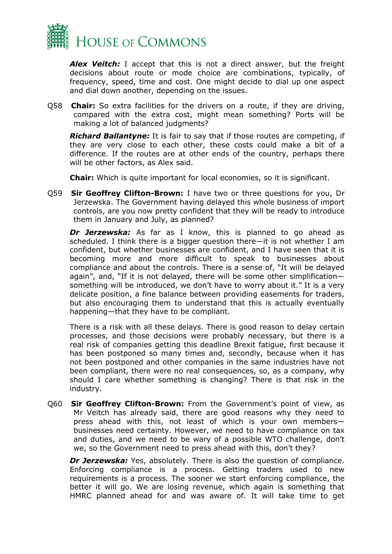

*Alex Veitch:* I accept that this is not a direct answer, but the freight decisions about route or mode choice are combinations, typically, of frequency, speed, time and cost. One might decide to dial up one aspect and dial down another, depending on the issues.

Q58 **Chair:** So extra facilities for the drivers on a route, if they are driving, compared with the extra cost, might mean something? Ports will be making a lot of balanced judgments?

*Richard Ballantyne:* It is fair to say that if those routes are competing, if they are very close to each other, these costs could make a bit of a difference. If the routes are at other ends of the country, perhaps there will be other factors, as Alex said.

**Chair:** Which is quite important for local economies, so it is significant.

Q59 **Sir Geoffrey Clifton-Brown:** I have two or three questions for you, Dr Jerzewska. The Government having delayed this whole business of import controls, are you now pretty confident that they will be ready to introduce them in January and July, as planned?

*Dr Jerzewska:* As far as I know, this is planned to go ahead as scheduled. I think there is a bigger question there—it is not whether I am confident, but whether businesses are confident, and I have seen that it is becoming more and more difficult to speak to businesses about compliance and about the controls. There is a sense of, "It will be delayed again", and, "If it is not delayed, there will be some other simplification something will be introduced, we don't have to worry about it." It is a very delicate position, a fine balance between providing easements for traders, but also encouraging them to understand that this is actually eventually happening—that they have to be compliant.

There is a risk with all these delays. There is good reason to delay certain processes, and those decisions were probably necessary, but there is a real risk of companies getting this deadline Brexit fatigue, first because it has been postponed so many times and, secondly, because when it has not been postponed and other companies in the same industries have not been compliant, there were no real consequences, so, as a company, why should I care whether something is changing? There is that risk in the industry.

Q60 **Sir Geoffrey Clifton-Brown:** From the Government's point of view, as Mr Veitch has already said, there are good reasons why they need to press ahead with this, not least of which is your own members businesses need certainty. However, we need to have compliance on tax and duties, and we need to be wary of a possible WTO challenge, don't we, so the Government need to press ahead with this, don't they?

*Dr Jerzewska:* Yes, absolutely. There is also the question of compliance. Enforcing compliance is a process. Getting traders used to new requirements is a process. The sooner we start enforcing compliance, the better it will go. We are losing revenue, which again is something that HMRC planned ahead for and was aware of. It will take time to get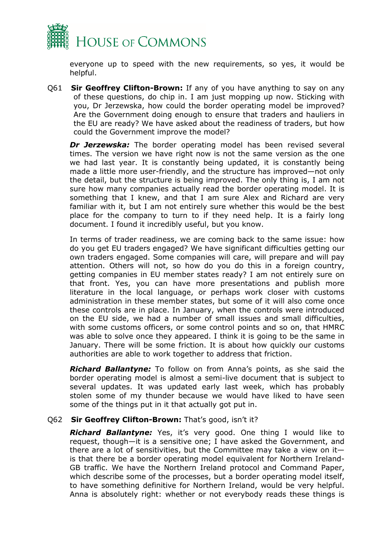

everyone up to speed with the new requirements, so yes, it would be helpful.

Q61 **Sir Geoffrey Clifton-Brown:** If any of you have anything to say on any of these questions, do chip in. I am just mopping up now. Sticking with you, Dr Jerzewska, how could the border operating model be improved? Are the Government doing enough to ensure that traders and hauliers in the EU are ready? We have asked about the readiness of traders, but how could the Government improve the model?

*Dr Jerzewska:* The border operating model has been revised several times. The version we have right now is not the same version as the one we had last year. It is constantly being updated, it is constantly being made a little more user-friendly, and the structure has improved—not only the detail, but the structure is being improved. The only thing is, I am not sure how many companies actually read the border operating model. It is something that I knew, and that I am sure Alex and Richard are very familiar with it, but I am not entirely sure whether this would be the best place for the company to turn to if they need help. It is a fairly long document. I found it incredibly useful, but you know.

In terms of trader readiness, we are coming back to the same issue: how do you get EU traders engaged? We have significant difficulties getting our own traders engaged. Some companies will care, will prepare and will pay attention. Others will not, so how do you do this in a foreign country, getting companies in EU member states ready? I am not entirely sure on that front. Yes, you can have more presentations and publish more literature in the local language, or perhaps work closer with customs administration in these member states, but some of it will also come once these controls are in place. In January, when the controls were introduced on the EU side, we had a number of small issues and small difficulties, with some customs officers, or some control points and so on, that HMRC was able to solve once they appeared. I think it is going to be the same in January. There will be some friction. It is about how quickly our customs authorities are able to work together to address that friction.

*Richard Ballantyne:* To follow on from Anna's points, as she said the border operating model is almost a semi-live document that is subject to several updates. It was updated early last week, which has probably stolen some of my thunder because we would have liked to have seen some of the things put in it that actually got put in.

#### Q62 **Sir Geoffrey Clifton-Brown:** That's good, isn't it?

*Richard Ballantyne:* Yes, it's very good. One thing I would like to request, though—it is a sensitive one; I have asked the Government, and there are a lot of sensitivities, but the Committee may take a view on it is that there be a border operating model equivalent for Northern Ireland-GB traffic. We have the Northern Ireland protocol and Command Paper, which describe some of the processes, but a border operating model itself, to have something definitive for Northern Ireland, would be very helpful. Anna is absolutely right: whether or not everybody reads these things is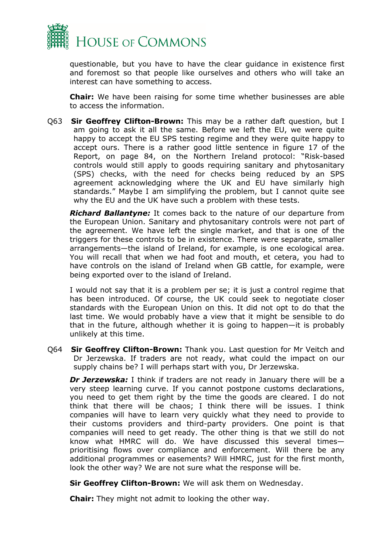

questionable, but you have to have the clear guidance in existence first and foremost so that people like ourselves and others who will take an interest can have something to access.

**Chair:** We have been raising for some time whether businesses are able to access the information.

Q63 **Sir Geoffrey Clifton-Brown:** This may be a rather daft question, but I am going to ask it all the same. Before we left the EU, we were quite happy to accept the EU SPS testing regime and they were quite happy to accept ours. There is a rather good little sentence in figure 17 of the Report, on page 84, on the Northern Ireland protocol: "Risk-based controls would still apply to goods requiring sanitary and phytosanitary (SPS) checks, with the need for checks being reduced by an SPS agreement acknowledging where the UK and EU have similarly high standards." Maybe I am simplifying the problem, but I cannot quite see why the EU and the UK have such a problem with these tests.

*Richard Ballantyne:* It comes back to the nature of our departure from the European Union. Sanitary and phytosanitary controls were not part of the agreement. We have left the single market, and that is one of the triggers for these controls to be in existence. There were separate, smaller arrangements—the island of Ireland, for example, is one ecological area. You will recall that when we had foot and mouth, et cetera, you had to have controls on the island of Ireland when GB cattle, for example, were being exported over to the island of Ireland.

I would not say that it is a problem per se; it is just a control regime that has been introduced. Of course, the UK could seek to negotiate closer standards with the European Union on this. It did not opt to do that the last time. We would probably have a view that it might be sensible to do that in the future, although whether it is going to happen—it is probably unlikely at this time.

Q64 **Sir Geoffrey Clifton-Brown:** Thank you. Last question for Mr Veitch and Dr Jerzewska. If traders are not ready, what could the impact on our supply chains be? I will perhaps start with you, Dr Jerzewska.

*Dr Jerzewska:* I think if traders are not ready in January there will be a very steep learning curve. If you cannot postpone customs declarations, you need to get them right by the time the goods are cleared. I do not think that there will be chaos; I think there will be issues. I think companies will have to learn very quickly what they need to provide to their customs providers and third-party providers. One point is that companies will need to get ready. The other thing is that we still do not know what HMRC will do. We have discussed this several times prioritising flows over compliance and enforcement. Will there be any additional programmes or easements? Will HMRC, just for the first month, look the other way? We are not sure what the response will be.

**Sir Geoffrey Clifton-Brown:** We will ask them on Wednesday.

**Chair:** They might not admit to looking the other way.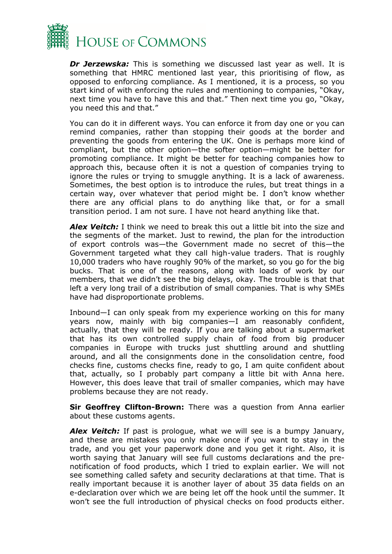

*Dr Jerzewska:* This is something we discussed last year as well. It is something that HMRC mentioned last year, this prioritising of flow, as opposed to enforcing compliance. As I mentioned, it is a process, so you start kind of with enforcing the rules and mentioning to companies, "Okay, next time you have to have this and that." Then next time you go, "Okay, you need this and that."

You can do it in different ways. You can enforce it from day one or you can remind companies, rather than stopping their goods at the border and preventing the goods from entering the UK. One is perhaps more kind of compliant, but the other option—the softer option—might be better for promoting compliance. It might be better for teaching companies how to approach this, because often it is not a question of companies trying to ignore the rules or trying to smuggle anything. It is a lack of awareness. Sometimes, the best option is to introduce the rules, but treat things in a certain way, over whatever that period might be. I don't know whether there are any official plans to do anything like that, or for a small transition period. I am not sure. I have not heard anything like that.

*Alex Veitch:* I think we need to break this out a little bit into the size and the segments of the market. Just to rewind, the plan for the introduction of export controls was—the Government made no secret of this—the Government targeted what they call high-value traders. That is roughly 10,000 traders who have roughly 90% of the market, so you go for the big bucks. That is one of the reasons, along with loads of work by our members, that we didn't see the big delays, okay. The trouble is that that left a very long trail of a distribution of small companies. That is why SMEs have had disproportionate problems.

Inbound—I can only speak from my experience working on this for many years now, mainly with big companies—I am reasonably confident, actually, that they will be ready. If you are talking about a supermarket that has its own controlled supply chain of food from big producer companies in Europe with trucks just shuttling around and shuttling around, and all the consignments done in the consolidation centre, food checks fine, customs checks fine, ready to go, I am quite confident about that, actually, so I probably part company a little bit with Anna here. However, this does leave that trail of smaller companies, which may have problems because they are not ready.

**Sir Geoffrey Clifton-Brown:** There was a question from Anna earlier about these customs agents.

*Alex Veitch:* If past is prologue, what we will see is a bumpy January, and these are mistakes you only make once if you want to stay in the trade, and you get your paperwork done and you get it right. Also, it is worth saying that January will see full customs declarations and the prenotification of food products, which I tried to explain earlier. We will not see something called safety and security declarations at that time. That is really important because it is another layer of about 35 data fields on an e-declaration over which we are being let off the hook until the summer. It won't see the full introduction of physical checks on food products either.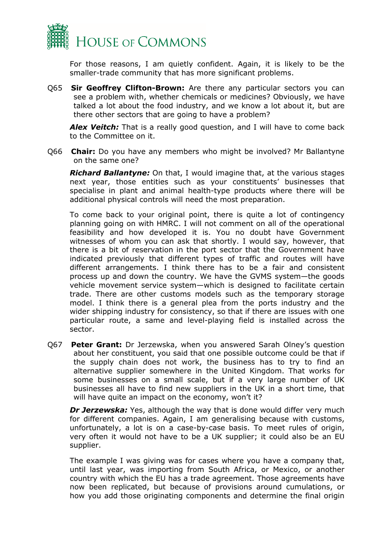

For those reasons, I am quietly confident. Again, it is likely to be the smaller-trade community that has more significant problems.

Q65 **Sir Geoffrey Clifton-Brown:** Are there any particular sectors you can see a problem with, whether chemicals or medicines? Obviously, we have talked a lot about the food industry, and we know a lot about it, but are there other sectors that are going to have a problem?

*Alex Veitch:* That is a really good question, and I will have to come back to the Committee on it.

Q66 **Chair:** Do you have any members who might be involved? Mr Ballantyne on the same one?

*Richard Ballantyne:* On that, I would imagine that, at the various stages next year, those entities such as your constituents' businesses that specialise in plant and animal health-type products where there will be additional physical controls will need the most preparation.

To come back to your original point, there is quite a lot of contingency planning going on with HMRC. I will not comment on all of the operational feasibility and how developed it is. You no doubt have Government witnesses of whom you can ask that shortly. I would say, however, that there is a bit of reservation in the port sector that the Government have indicated previously that different types of traffic and routes will have different arrangements. I think there has to be a fair and consistent process up and down the country. We have the GVMS system—the goods vehicle movement service system—which is designed to facilitate certain trade. There are other customs models such as the temporary storage model. I think there is a general plea from the ports industry and the wider shipping industry for consistency, so that if there are issues with one particular route, a same and level-playing field is installed across the sector.

Q67 **Peter Grant:** Dr Jerzewska, when you answered Sarah Olney's question about her constituent, you said that one possible outcome could be that if the supply chain does not work, the business has to try to find an alternative supplier somewhere in the United Kingdom. That works for some businesses on a small scale, but if a very large number of UK businesses all have to find new suppliers in the UK in a short time, that will have quite an impact on the economy, won't it?

*Dr Jerzewska:* Yes, although the way that is done would differ very much for different companies. Again, I am generalising because with customs, unfortunately, a lot is on a case-by-case basis. To meet rules of origin, very often it would not have to be a UK supplier; it could also be an EU supplier.

The example I was giving was for cases where you have a company that, until last year, was importing from South Africa, or Mexico, or another country with which the EU has a trade agreement. Those agreements have now been replicated, but because of provisions around cumulations, or how you add those originating components and determine the final origin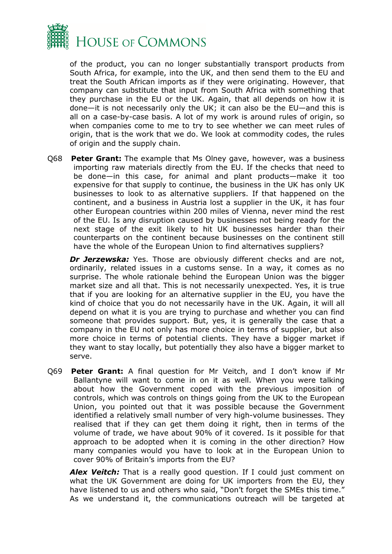

of the product, you can no longer substantially transport products from South Africa, for example, into the UK, and then send them to the EU and treat the South African imports as if they were originating. However, that company can substitute that input from South Africa with something that they purchase in the EU or the UK. Again, that all depends on how it is done—it is not necessarily only the UK; it can also be the EU—and this is all on a case-by-case basis. A lot of my work is around rules of origin, so when companies come to me to try to see whether we can meet rules of origin, that is the work that we do. We look at commodity codes, the rules of origin and the supply chain.

Q68 **Peter Grant:** The example that Ms Olney gave, however, was a business importing raw materials directly from the EU. If the checks that need to be done—in this case, for animal and plant products—make it too expensive for that supply to continue, the business in the UK has only UK businesses to look to as alternative suppliers. If that happened on the continent, and a business in Austria lost a supplier in the UK, it has four other European countries within 200 miles of Vienna, never mind the rest of the EU. Is any disruption caused by businesses not being ready for the next stage of the exit likely to hit UK businesses harder than their counterparts on the continent because businesses on the continent still have the whole of the European Union to find alternatives suppliers?

**Dr Jerzewska:** Yes. Those are obviously different checks and are not, ordinarily, related issues in a customs sense. In a way, it comes as no surprise. The whole rationale behind the European Union was the bigger market size and all that. This is not necessarily unexpected. Yes, it is true that if you are looking for an alternative supplier in the EU, you have the kind of choice that you do not necessarily have in the UK. Again, it will all depend on what it is you are trying to purchase and whether you can find someone that provides support. But, yes, it is generally the case that a company in the EU not only has more choice in terms of supplier, but also more choice in terms of potential clients. They have a bigger market if they want to stay locally, but potentially they also have a bigger market to serve.

Q69 **Peter Grant:** A final question for Mr Veitch, and I don't know if Mr Ballantyne will want to come in on it as well. When you were talking about how the Government coped with the previous imposition of controls, which was controls on things going from the UK to the European Union, you pointed out that it was possible because the Government identified a relatively small number of very high-volume businesses. They realised that if they can get them doing it right, then in terms of the volume of trade, we have about 90% of it covered. Is it possible for that approach to be adopted when it is coming in the other direction? How many companies would you have to look at in the European Union to cover 90% of Britain's imports from the EU?

**Alex Veitch:** That is a really good question. If I could just comment on what the UK Government are doing for UK importers from the EU, they have listened to us and others who said, "Don't forget the SMEs this time." As we understand it, the communications outreach will be targeted at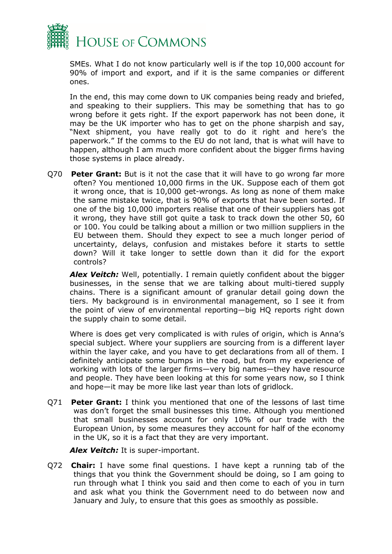

SMEs. What I do not know particularly well is if the top 10,000 account for 90% of import and export, and if it is the same companies or different ones.

In the end, this may come down to UK companies being ready and briefed, and speaking to their suppliers. This may be something that has to go wrong before it gets right. If the export paperwork has not been done, it may be the UK importer who has to get on the phone sharpish and say, "Next shipment, you have really got to do it right and here's the paperwork." If the comms to the EU do not land, that is what will have to happen, although I am much more confident about the bigger firms having those systems in place already.

Q70 **Peter Grant:** But is it not the case that it will have to go wrong far more often? You mentioned 10,000 firms in the UK. Suppose each of them got it wrong once, that is 10,000 get-wrongs. As long as none of them make the same mistake twice, that is 90% of exports that have been sorted. If one of the big 10,000 importers realise that one of their suppliers has got it wrong, they have still got quite a task to track down the other 50, 60 or 100. You could be talking about a million or two million suppliers in the EU between them. Should they expect to see a much longer period of uncertainty, delays, confusion and mistakes before it starts to settle down? Will it take longer to settle down than it did for the export controls?

*Alex Veitch:* Well, potentially. I remain quietly confident about the bigger businesses, in the sense that we are talking about multi-tiered supply chains. There is a significant amount of granular detail going down the tiers. My background is in environmental management, so I see it from the point of view of environmental reporting—big HQ reports right down the supply chain to some detail.

Where is does get very complicated is with rules of origin, which is Anna's special subject. Where your suppliers are sourcing from is a different layer within the layer cake, and you have to get declarations from all of them. I definitely anticipate some bumps in the road, but from my experience of working with lots of the larger firms—very big names—they have resource and people. They have been looking at this for some years now, so I think and hope—it may be more like last year than lots of gridlock.

Q71 **Peter Grant:** I think you mentioned that one of the lessons of last time was don't forget the small businesses this time. Although you mentioned that small businesses account for only 10% of our trade with the European Union, by some measures they account for half of the economy in the UK, so it is a fact that they are very important.

*Alex Veitch:* It is super-important.

Q72 **Chair:** I have some final questions. I have kept a running tab of the things that you think the Government should be doing, so I am going to run through what I think you said and then come to each of you in turn and ask what you think the Government need to do between now and January and July, to ensure that this goes as smoothly as possible.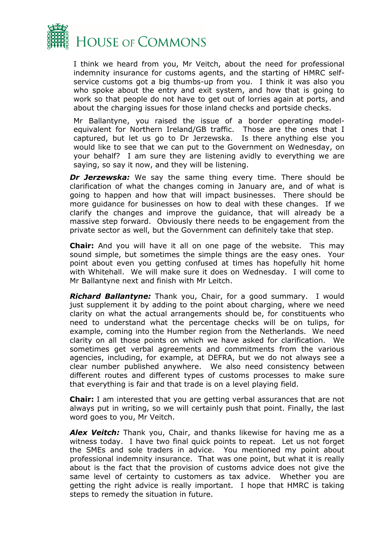

I think we heard from you, Mr Veitch, about the need for professional indemnity insurance for customs agents, and the starting of HMRC selfservice customs got a big thumbs-up from you. I think it was also you who spoke about the entry and exit system, and how that is going to work so that people do not have to get out of lorries again at ports, and about the charging issues for those inland checks and portside checks.

Mr Ballantyne, you raised the issue of a border operating modelequivalent for Northern Ireland/GB traffic. Those are the ones that I captured, but let us go to Dr Jerzewska. Is there anything else you would like to see that we can put to the Government on Wednesday, on your behalf? I am sure they are listening avidly to everything we are saying, so say it now, and they will be listening.

*Dr Jerzewska:* We say the same thing every time. There should be clarification of what the changes coming in January are, and of what is going to happen and how that will impact businesses. There should be more guidance for businesses on how to deal with these changes. If we clarify the changes and improve the guidance, that will already be a massive step forward. Obviously there needs to be engagement from the private sector as well, but the Government can definitely take that step.

**Chair:** And you will have it all on one page of the website. This may sound simple, but sometimes the simple things are the easy ones. Your point about even you getting confused at times has hopefully hit home with Whitehall. We will make sure it does on Wednesday. I will come to Mr Ballantyne next and finish with Mr Leitch.

*Richard Ballantyne:* Thank you, Chair, for a good summary. I would just supplement it by adding to the point about charging, where we need clarity on what the actual arrangements should be, for constituents who need to understand what the percentage checks will be on tulips, for example, coming into the Humber region from the Netherlands. We need clarity on all those points on which we have asked for clarification. We sometimes get verbal agreements and commitments from the various agencies, including, for example, at DEFRA, but we do not always see a clear number published anywhere. We also need consistency between different routes and different types of customs processes to make sure that everything is fair and that trade is on a level playing field.

**Chair:** I am interested that you are getting verbal assurances that are not always put in writing, so we will certainly push that point. Finally, the last word goes to you, Mr Veitch.

*Alex Veitch:* Thank you, Chair, and thanks likewise for having me as a witness today. I have two final quick points to repeat. Let us not forget the SMEs and sole traders in advice. You mentioned my point about professional indemnity insurance. That was one point, but what it is really about is the fact that the provision of customs advice does not give the same level of certainty to customers as tax advice. Whether you are getting the right advice is really important. I hope that HMRC is taking steps to remedy the situation in future.